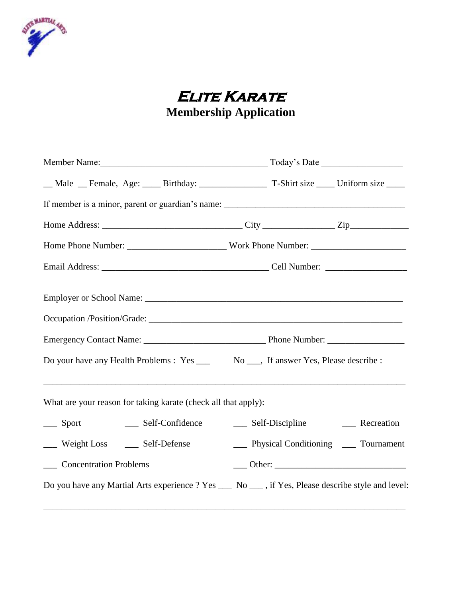

# **Elite Karate Membership Application**

| _Male _Female, Age: ___Birthday: _______________T-Shirt size ___Uniform size ___                  |                                        |  |  |
|---------------------------------------------------------------------------------------------------|----------------------------------------|--|--|
|                                                                                                   |                                        |  |  |
|                                                                                                   |                                        |  |  |
|                                                                                                   |                                        |  |  |
|                                                                                                   |                                        |  |  |
|                                                                                                   |                                        |  |  |
|                                                                                                   |                                        |  |  |
|                                                                                                   |                                        |  |  |
| Do your have any Health Problems : Yes _____ No ____, If answer Yes, Please describe :            |                                        |  |  |
| What are your reason for taking karate (check all that apply):                                    |                                        |  |  |
| __ Sport _______ Self-Confidence                                                                  | __ Self-Discipline __ Recreation       |  |  |
| Weight Loss _____ Self-Defense                                                                    | __ Physical Conditioning __ Tournament |  |  |
| ___ Concentration Problems                                                                        |                                        |  |  |
| Do you have any Martial Arts experience ? Yes __ No __ , if Yes, Please describe style and level: |                                        |  |  |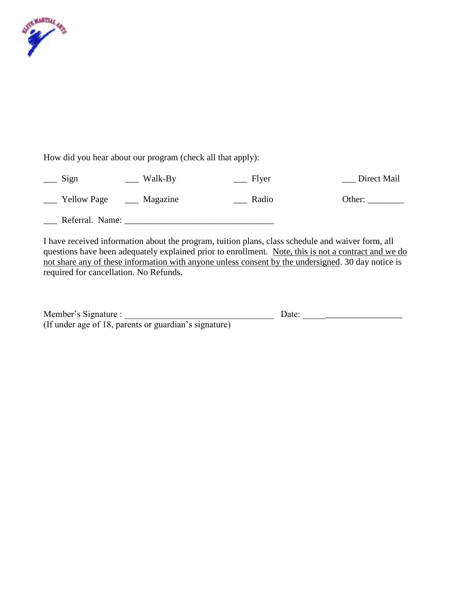

How did you hear about our program (check all that apply):

| Walk-By<br>$\equiv$ Sign       | Flyer | Direct Mail |
|--------------------------------|-------|-------------|
| <b>Yellow Page</b><br>Magazine | Radio | Other:      |
| Referral. Name:                |       |             |

I have received information about the program, tuition plans, class schedule and waiver form, all questions have been adequately explained prior to enrollment. Note, this is not a contract and we do not share any of these information with anyone unless consent by the undersigned. 30 day notice is required for cancellation. No Refunds.

| Member's Signature :                                  | Date: |
|-------------------------------------------------------|-------|
| (If under age of 18, parents or guardian's signature) |       |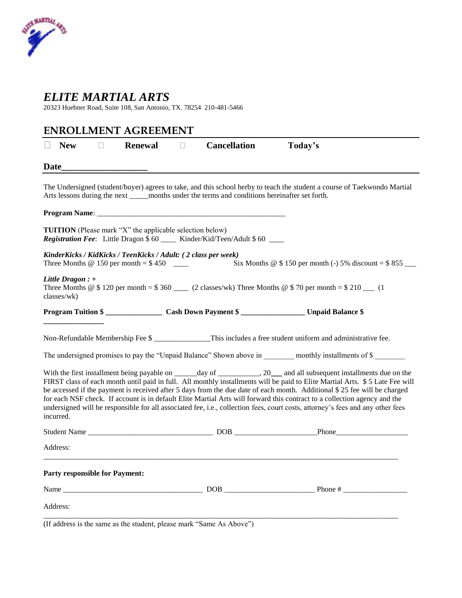

## *ELITE MARTIAL ARTS*

20323 Huebner Road, Suite 108, San Antonio, TX. 78254 210-481-5466

|                                       |        | <b>ENROLLMENT AGREEMENT</b>                                                                                   |              |                                                                                                  |                                                                                                                                                                                                                                                                                                                                                                                                                                                                                                                         |
|---------------------------------------|--------|---------------------------------------------------------------------------------------------------------------|--------------|--------------------------------------------------------------------------------------------------|-------------------------------------------------------------------------------------------------------------------------------------------------------------------------------------------------------------------------------------------------------------------------------------------------------------------------------------------------------------------------------------------------------------------------------------------------------------------------------------------------------------------------|
| <b>New</b>                            | $\Box$ | <b>Renewal</b>                                                                                                | $\mathbf{L}$ | <b>Cancellation</b>                                                                              | Today's                                                                                                                                                                                                                                                                                                                                                                                                                                                                                                                 |
| <b>Date</b>                           |        |                                                                                                               |              |                                                                                                  |                                                                                                                                                                                                                                                                                                                                                                                                                                                                                                                         |
|                                       |        |                                                                                                               |              | Arts lessons during the next ______ months under the terms and conditions hereinafter set forth. | The Undersigned (student/buyer) agrees to take, and this school herby to teach the student a course of Taekwondo Martial                                                                                                                                                                                                                                                                                                                                                                                                |
|                                       |        |                                                                                                               |              |                                                                                                  |                                                                                                                                                                                                                                                                                                                                                                                                                                                                                                                         |
|                                       |        | <b>TUITION</b> (Please mark "X" the applicable selection below)                                               |              | Registration Fee: Little Dragon \$ 60 ____ Kinder/Kid/Teen/Adult \$ 60 ___                       |                                                                                                                                                                                                                                                                                                                                                                                                                                                                                                                         |
|                                       |        | KinderKicks / KidKicks / TeenKicks / Adult: (2 class per week)<br>Three Months $@$ 150 per month = \$450 ____ |              |                                                                                                  | Six Months $@$ \$ 150 per month (-) 5% discount = \$ 855 ___                                                                                                                                                                                                                                                                                                                                                                                                                                                            |
| Little Dragon : $+$<br>classes/wk)    |        |                                                                                                               |              |                                                                                                  | Three Months @ $$120$ per month = $$360$ ____ (2 classes/wk) Three Months @ $$70$ per month = $$210$ ___ (1)                                                                                                                                                                                                                                                                                                                                                                                                            |
|                                       |        |                                                                                                               |              |                                                                                                  |                                                                                                                                                                                                                                                                                                                                                                                                                                                                                                                         |
|                                       |        |                                                                                                               |              |                                                                                                  | Non-Refundable Membership Fee \$ ______________This includes a free student uniform and administrative fee.                                                                                                                                                                                                                                                                                                                                                                                                             |
|                                       |        |                                                                                                               |              |                                                                                                  | The undersigned promises to pay the "Unpaid Balance" Shown above in ________ monthly installments of \$                                                                                                                                                                                                                                                                                                                                                                                                                 |
| incurred.                             |        |                                                                                                               |              |                                                                                                  | FIRST class of each month until paid in full. All monthly installments will be paid to Elite Martial Arts. \$5 Late Fee will<br>be accessed if the payment is received after 5 days from the due date of each month. Additional \$25 fee will be charged<br>for each NSF check. If account is in default Elite Martial Arts will forward this contract to a collection agency and the<br>undersigned will be responsible for all associated fee, i.e., collection fees, court costs, attorney's fees and any other fees |
|                                       |        |                                                                                                               |              |                                                                                                  |                                                                                                                                                                                                                                                                                                                                                                                                                                                                                                                         |
| Address:                              |        |                                                                                                               |              |                                                                                                  |                                                                                                                                                                                                                                                                                                                                                                                                                                                                                                                         |
| <b>Party responsible for Payment:</b> |        |                                                                                                               |              |                                                                                                  |                                                                                                                                                                                                                                                                                                                                                                                                                                                                                                                         |
|                                       |        |                                                                                                               |              |                                                                                                  |                                                                                                                                                                                                                                                                                                                                                                                                                                                                                                                         |
| Address:                              |        |                                                                                                               |              |                                                                                                  |                                                                                                                                                                                                                                                                                                                                                                                                                                                                                                                         |
|                                       |        |                                                                                                               |              | (If address is the same as the student, please mark "Same As Above")                             |                                                                                                                                                                                                                                                                                                                                                                                                                                                                                                                         |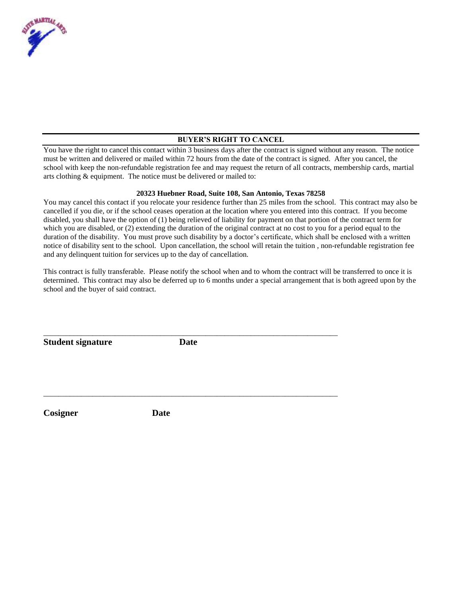

#### **BUYER'S RIGHT TO CANCEL**

You have the right to cancel this contact within 3 business days after the contract is signed without any reason. The notice must be written and delivered or mailed within 72 hours from the date of the contract is signed. After you cancel, the school with keep the non-refundable registration fee and may request the return of all contracts, membership cards, martial arts clothing & equipment. The notice must be delivered or mailed to:

#### **20323 Huebner Road, Suite 108, San Antonio, Texas 78258**

You may cancel this contact if you relocate your residence further than 25 miles from the school. This contract may also be cancelled if you die, or if the school ceases operation at the location where you entered into this contract. If you become disabled, you shall have the option of (1) being relieved of liability for payment on that portion of the contract term for which you are disabled, or (2) extending the duration of the original contract at no cost to you for a period equal to the duration of the disability. You must prove such disability by a doctor's certificate, which shall be enclosed with a written notice of disability sent to the school. Upon cancellation, the school will retain the tuition , non-refundable registration fee and any delinquent tuition for services up to the day of cancellation.

This contract is fully transferable. Please notify the school when and to whom the contract will be transferred to once it is determined. This contract may also be deferred up to 6 months under a special arrangement that is both agreed upon by the school and the buyer of said contract.

**Student signature Date**

\_\_\_\_\_\_\_\_\_\_\_\_\_\_\_\_\_\_\_\_\_\_\_\_\_\_\_\_\_\_\_\_\_\_\_\_\_\_\_\_\_\_\_\_\_\_\_\_\_\_\_\_\_\_\_\_\_\_\_\_\_\_\_\_\_\_\_\_\_\_\_\_\_\_\_\_\_\_

\_\_\_\_\_\_\_\_\_\_\_\_\_\_\_\_\_\_\_\_\_\_\_\_\_\_\_\_\_\_\_\_\_\_\_\_\_\_\_\_\_\_\_\_\_\_\_\_\_\_\_\_\_\_\_\_\_\_\_\_\_\_\_\_\_\_\_\_\_\_\_\_\_\_\_\_\_\_

**Cosigner Date**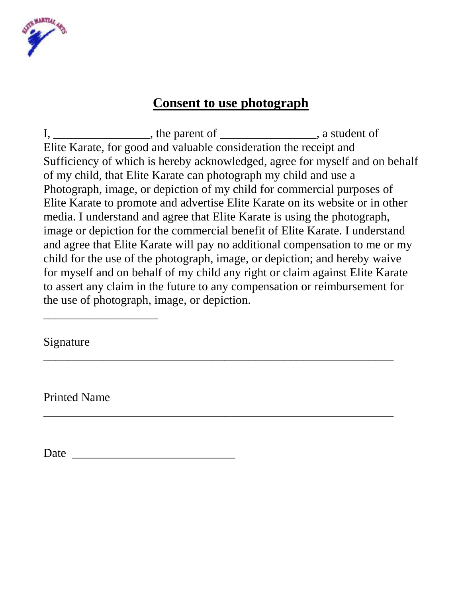

## **Consent to use photograph**

I, \_\_\_\_\_\_\_\_\_\_\_\_\_\_\_\_, the parent of \_\_\_\_\_\_\_\_\_\_\_\_\_\_\_\_\_, a student of Elite Karate, for good and valuable consideration the receipt and Sufficiency of which is hereby acknowledged, agree for myself and on behalf of my child, that Elite Karate can photograph my child and use a Photograph, image, or depiction of my child for commercial purposes of Elite Karate to promote and advertise Elite Karate on its website or in other media. I understand and agree that Elite Karate is using the photograph, image or depiction for the commercial benefit of Elite Karate. I understand and agree that Elite Karate will pay no additional compensation to me or my child for the use of the photograph, image, or depiction; and hereby waive for myself and on behalf of my child any right or claim against Elite Karate to assert any claim in the future to any compensation or reimbursement for the use of photograph, image, or depiction.

\_\_\_\_\_\_\_\_\_\_\_\_\_\_\_\_\_\_\_\_\_\_\_\_\_\_\_\_\_\_\_\_\_\_\_\_\_\_\_\_\_\_\_\_\_\_\_\_\_\_\_\_\_\_\_\_\_\_

\_\_\_\_\_\_\_\_\_\_\_\_\_\_\_\_\_\_\_\_\_\_\_\_\_\_\_\_\_\_\_\_\_\_\_\_\_\_\_\_\_\_\_\_\_\_\_\_\_\_\_\_\_\_\_\_\_\_

Signature

\_\_\_\_\_\_\_\_\_\_\_\_\_\_\_\_\_\_\_

Printed Name

Date \_\_\_\_\_\_\_\_\_\_\_\_\_\_\_\_\_\_\_\_\_\_\_\_\_\_\_